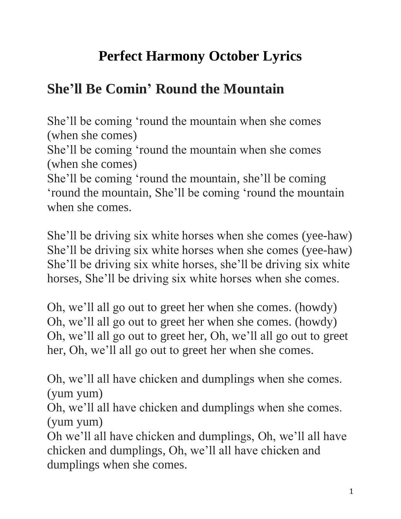# **Perfect Harmony October Lyrics**

#### **She'll Be Comin' Round the Mountain**

She'll be coming 'round the mountain when she comes (when she comes)

She'll be coming 'round the mountain when she comes (when she comes)

She'll be coming 'round the mountain, she'll be coming 'round the mountain, She'll be coming 'round the mountain when she comes.

She'll be driving six white horses when she comes (yee-haw) She'll be driving six white horses when she comes (yee-haw) She'll be driving six white horses, she'll be driving six white horses, She'll be driving six white horses when she comes.

Oh, we'll all go out to greet her when she comes. (howdy) Oh, we'll all go out to greet her when she comes. (howdy) Oh, we'll all go out to greet her, Oh, we'll all go out to greet her, Oh, we'll all go out to greet her when she comes.

Oh, we'll all have chicken and dumplings when she comes. (yum yum)

Oh, we'll all have chicken and dumplings when she comes. (yum yum)

Oh we'll all have chicken and dumplings, Oh, we'll all have chicken and dumplings, Oh, we'll all have chicken and dumplings when she comes.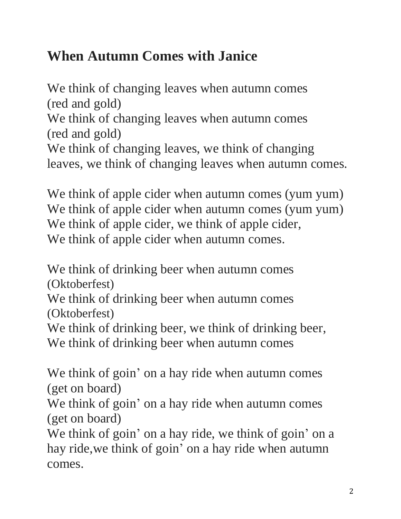## **When Autumn Comes with Janice**

We think of changing leaves when autumn comes (red and gold)

We think of changing leaves when autumn comes (red and gold)

We think of changing leaves, we think of changing leaves, we think of changing leaves when autumn comes.

We think of apple cider when autumn comes (yum yum) We think of apple cider when autumn comes (yum yum) We think of apple cider, we think of apple cider, We think of apple cider when autumn comes.

We think of drinking beer when autumn comes (Oktoberfest)

We think of drinking beer when autumn comes (Oktoberfest)

We think of drinking beer, we think of drinking beer,

We think of drinking beer when autumn comes

We think of goin' on a hay ride when autumn comes (get on board)

We think of goin' on a hay ride when autumn comes (get on board)

We think of goin' on a hay ride, we think of goin' on a hay ride,we think of goin' on a hay ride when autumn comes.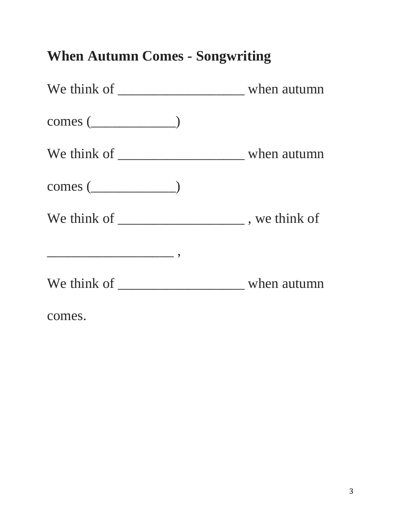# **When Autumn Comes - Songwriting**

| $comes (\_$                                         |  |
|-----------------------------------------------------|--|
|                                                     |  |
| $comes (\_$                                         |  |
| We think of __________________________, we think of |  |
|                                                     |  |
|                                                     |  |
| comes.                                              |  |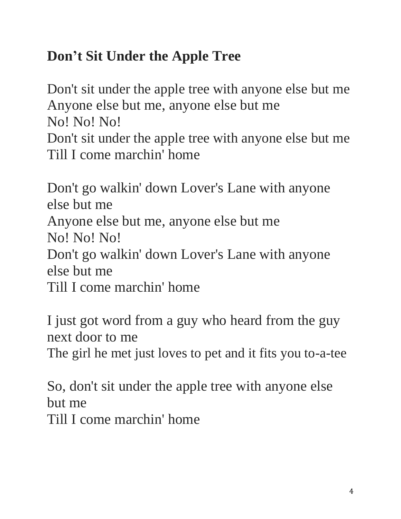## **Don't Sit Under the Apple Tree**

Don't sit under the apple tree with anyone else but me Anyone else but me, anyone else but me No! No! No! Don't sit under the apple tree with anyone else but me Till I come marchin' home

Don't go walkin' down Lover's Lane with anyone else but me Anyone else but me, anyone else but me No! No! No! Don't go walkin' down Lover's Lane with anyone else but me Till I come marchin' home

I just got word from a guy who heard from the guy next door to me

The girl he met just loves to pet and it fits you to-a-tee

So, don't sit under the apple tree with anyone else but me Till I come marchin' home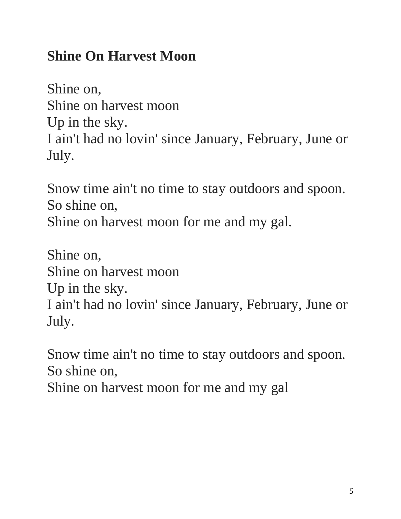### **Shine On Harvest Moon**

Shine on, Shine on harvest moon Up in the sky. I ain't had no lovin' since January, February, June or July.

Snow time ain't no time to stay outdoors and spoon. So shine on, Shine on harvest moon for me and my gal.

Shine on, Shine on harvest moon Up in the sky. I ain't had no lovin' since January, February, June or July.

Snow time ain't no time to stay outdoors and spoon. So shine on,

Shine on harvest moon for me and my gal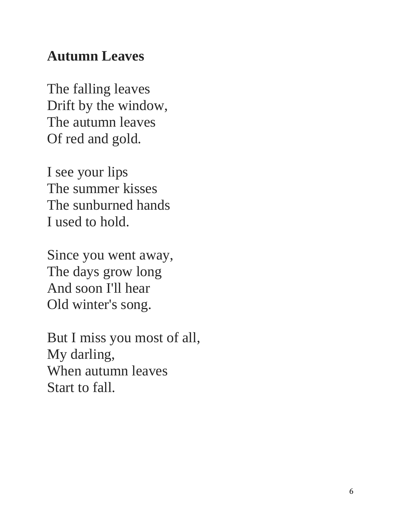#### **Autumn Leaves**

The falling leaves Drift by the window, The autumn leaves Of red and gold.

I see your lips The summer kisses The sunburned hands I used to hold.

Since you went away, The days grow long And soon I'll hear Old winter's song.

But I miss you most of all, My darling, When autumn leaves Start to fall.